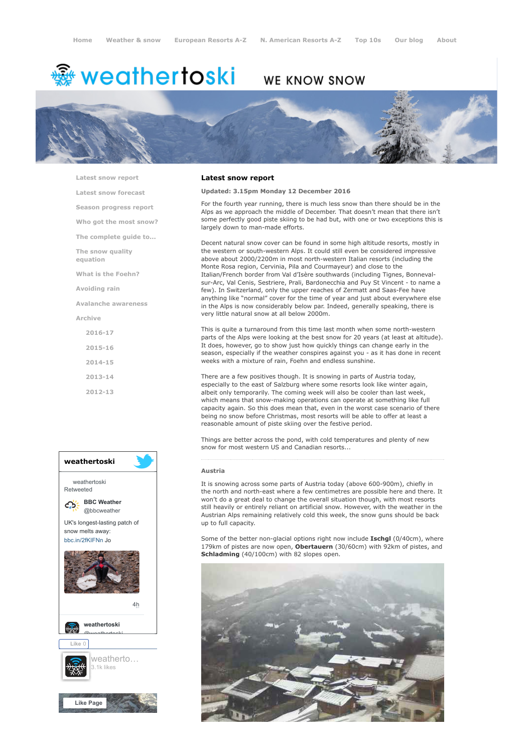# ∰ weathertoski

## WE KNOW SNOW



[Latest snow report](https://www.weathertoski.co.uk/weather-snow/latest-snow-report/)

[Latest snow forecast](https://www.weathertoski.co.uk/weather-snow/latest-snow-forecast/)

[Season progress report](https://www.weathertoski.co.uk/weather-snow/season-progress-report/)

[Who got the most snow?](https://www.weathertoski.co.uk/weather-snow/who-got-the-most-snow/)

[The complete guide to...](https://www.weathertoski.co.uk/weather-snow/the-complete-guide-to/)

[The snow quality](https://www.weathertoski.co.uk/weather-snow/the-snow-quality-equation/)

[What is the Foehn?](https://www.weathertoski.co.uk/weather-snow/what-is-the-foehn/)

[Avoiding rain](https://www.weathertoski.co.uk/weather-snow/avoiding-rain/)

equation

[Avalanche awareness](https://www.weathertoski.co.uk/weather-snow/avalanche-awareness/)

[Archive](https://www.weathertoski.co.uk/weather-snow/archive/)

[2016-17](https://www.weathertoski.co.uk/weather-snow/archive/2016-17/) [2015-16](https://www.weathertoski.co.uk/weather-snow/archive/2015-16/) [2014-15](https://www.weathertoski.co.uk/weather-snow/archive/2014-15/) [2013-14](https://www.weathertoski.co.uk/weather-snow/archive/2013-14/)

[2012-13](https://www.weathertoski.co.uk/weather-snow/archive/2012-13/)



#### Latest snow report

Updated: 3.15pm Monday 12 December 2016

For the fourth year running, there is much less snow than there should be in the Alps as we approach the middle of December. That doesn't mean that there isn't some perfectly good piste skiing to be had but, with one or two exceptions this is largely down to man-made efforts.

Decent natural snow cover can be found in some high altitude resorts, mostly in the western or south-western Alps. It could still even be considered impressive above about 2000/2200m in most north-western Italian resorts (including the Monte Rosa region, Cervinia, Pila and Courmayeur) and close to the Italian/French border from Val d'Isère southwards (including Tignes, Bonnevalsur-Arc, Val Cenis, Sestriere, Prali, Bardonecchia and Puy St Vincent - to name a few). In Switzerland, only the upper reaches of Zermatt and Saas-Fee have anything like "normal" cover for the time of year and just about everywhere else in the Alps is now considerably below par. Indeed, generally speaking, there is very little natural snow at all below 2000m.

This is quite a turnaround from this time last month when some north-western parts of the Alps were looking at the best snow for 20 years (at least at altitude). It does, however, go to show just how quickly things can change early in the season, especially if the weather conspires against you - as it has done in recent weeks with a mixture of rain, Foehn and endless sunshine.

There are a few positives though. It is snowing in parts of Austria today, especially to the east of Salzburg where some resorts look like winter again, albeit only temporarily. The coming week will also be cooler than last week, which means that snow-making operations can operate at something like full capacity again. So this does mean that, even in the worst case scenario of there being no snow before Christmas, most resorts will be able to offer at least a reasonable amount of piste skiing over the festive period.

Things are better across the pond, with cold temperatures and plenty of new snow for most western US and Canadian resorts...

#### Austria

It is snowing across some parts of Austria today (above 600-900m), chiefly in the north and north-east where a few centimetres are possible here and there. It won't do a great deal to change the overall situation though, with most resorts still heavily or entirely reliant on artificial snow. However, with the weather in the Austrian Alps remaining relatively cold this week, the snow guns should be back up to full capacity.

Some of the better non-glacial options right now include Ischgl (0/40cm), where 179km of pistes are now open, Obertauern (30/60cm) with 92km of pistes, and Schladming (40/100cm) with 82 slopes open.

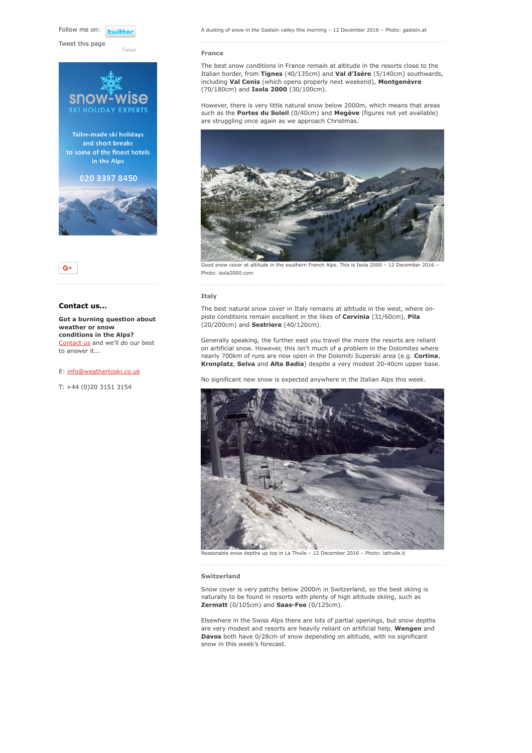Follow me on: **Fujibly** 

Tweet this page

 $QHDA$ 

[Tweet](https://twitter.com/intent/tweet?original_referer=https%3A%2F%2Fwww.weathertoski.co.uk%2Fweather-snow%2Farchive%2Fsnow-report-12-12-2016%2F&ref_src=twsrc%5Etfw&text=Weather%20to%20ski%20-%20Snow%20report%20-%2012%20December%202016&tw_p=tweetbutton&url=https%3A%2F%2Fwww.weathertoski.co.uk%2Fweather-snow%2Farchive%2Fsnow-report-12-12-2016%2F)

Tailor-made ski holidays and short breaks to some of the finest hotels in the Alps

020 3397 8450





#### Contact us...

Got a burning question about weather or snow conditions in the Alps? [Contact us](https://www.weathertoski.co.uk/about-1/contact-us/) and we'll do our best to answer it...

#### E: [info@weathertoski.co.uk](mailto:fraser@weathertoski.co.uk)

T: +44 (0)20 3151 3154

#### France

The best snow conditions in France remain at altitude in the resorts close to the Italian border, from Tignes (40/135cm) and Val d'Isère (5/140cm) southwards, including Val Cenis (which opens properly next weekend), Montgenèvre (70/180cm) and Isola 2000 (30/100cm).

However, there is very little natural snow below 2000m, which means that areas such as the **Portes du Soleil** (0/40cm) and **Megève** (figures not yet available) are struggling once again as we approach Christmas.



Good snow cover at altitude in the southern French Alps. This is Isola 2000 - 12 December 2016 -Photo: isola2000.com

#### Italy

The best natural snow cover in Italy remains at altitude in the west, where onpiste conditions remain excellent in the likes of Cervinia (31/60cm), Pila (20/200cm) and Sestriere (40/120cm).

Generally speaking, the further east you travel the more the resorts are reliant on artificial snow. However, this isn't much of a problem in the Dolomites where nearly 700km of runs are now open in the Dolomiti Superski area (e.g. Cortina, Kronplatz, Selva and Alta Badia) despite a very modest 20-40cm upper base.

No significant new snow is expected anywhere in the Italian Alps this week.



Reasonable snow depths up top in La Thuile – 12 December 2016 – Photo: lathuile.it

#### Switzerland

Snow cover is very patchy below 2000m in Switzerland, so the best skiing is naturally to be found in resorts with plenty of high altitude skiing, such as Zermatt (0/105cm) and Saas-Fee (0/125cm).

Elsewhere in the Swiss Alps there are lots of partial openings, but snow depths are very modest and resorts are heavily reliant on artificial help. Wengen and Davos both have 0/28cm of snow depending on altitude, with no significant snow in this week's forecast.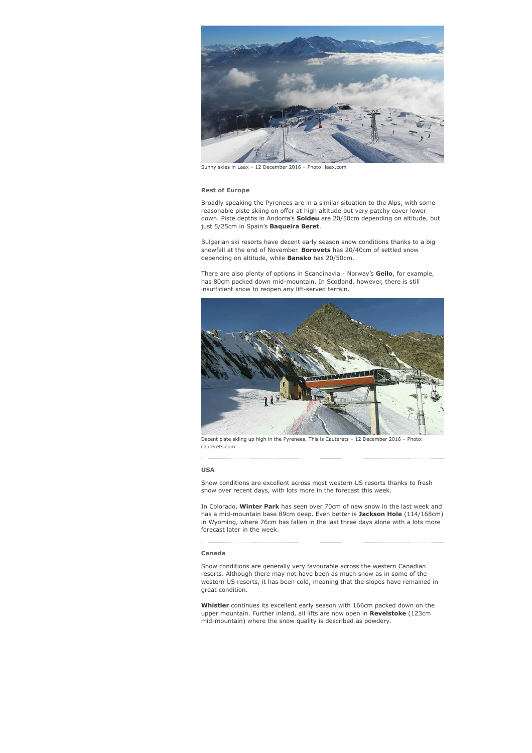

Sunny skies in Laax – 12 December 2016 – Photo: laax.com

#### Rest of Europe

Broadly speaking the Pyrenees are in a similar situation to the Alps, with some reasonable piste skiing on offer at high altitude but very patchy cover lower down. Piste depths in Andorra's Soldeu are 20/50cm depending on altitude, but just 5/25cm in Spain's Baqueira Beret.

Bulgarian ski resorts have decent early season snow conditions thanks to a big snowfall at the end of November. Borovets has 20/40cm of settled snow depending on altitude, while **Bansko** has 20/50cm.

There are also plenty of options in Scandinavia - Norway's Geilo, for example, has 80cm packed down mid-mountain. In Scotland, however, there is still insufficient snow to reopen any lift-served terrain.



Decent piste skiing up high in the Pyrenees. This is Cauterets – 12 December 2016 – Phot cauterets.com

#### USA

Snow conditions are excellent across most western US resorts thanks to fresh snow over recent days, with lots more in the forecast this week.

In Colorado, Winter Park has seen over 70cm of new snow in the last week and has a mid-mountain base 89cm deep. Even better is Jackson Hole (114/168cm) in Wyoming, where 76cm has fallen in the last three days alone with a lots more forecast later in the week.

### Canada

Snow conditions are generally very favourable across the western Canadian resorts. Although there may not have been as much snow as in some of the western US resorts, it has been cold, meaning that the slopes have remained in great condition.

Whistler continues its excellent early season with 166cm packed down on the upper mountain. Further inland, all lifts are now open in **Revelstoke** (123cm) mid-mountain) where the snow quality is described as powdery.